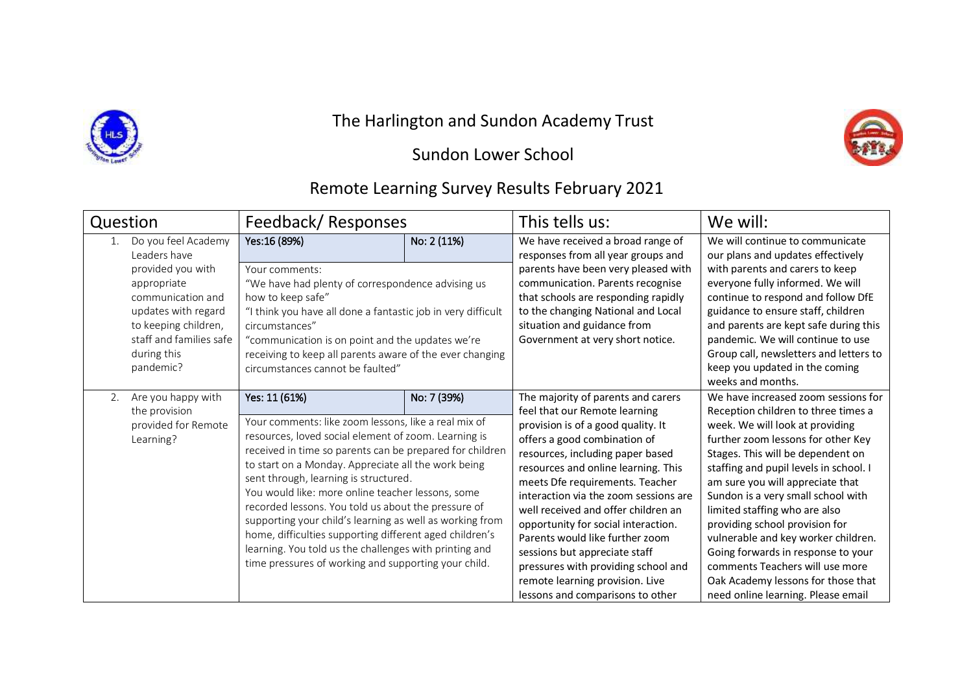

## The Harlington and Sundon Academy Trust

## Sundon Lower School



| Question                                                                                                                                                                                           |                                                            | Feedback/Responses                                                                                                                                                                                                                                                                                                                                                                                                                                                                                                                                                                                                                             |             | This tells us:                                                                                                                                                                                                                                                                                                                                                                                                                                                                                                                                                   | We will:                                                                                                                                                                                                                                                                                                                                                                                                                                                                                                                                                                    |
|----------------------------------------------------------------------------------------------------------------------------------------------------------------------------------------------------|------------------------------------------------------------|------------------------------------------------------------------------------------------------------------------------------------------------------------------------------------------------------------------------------------------------------------------------------------------------------------------------------------------------------------------------------------------------------------------------------------------------------------------------------------------------------------------------------------------------------------------------------------------------------------------------------------------------|-------------|------------------------------------------------------------------------------------------------------------------------------------------------------------------------------------------------------------------------------------------------------------------------------------------------------------------------------------------------------------------------------------------------------------------------------------------------------------------------------------------------------------------------------------------------------------------|-----------------------------------------------------------------------------------------------------------------------------------------------------------------------------------------------------------------------------------------------------------------------------------------------------------------------------------------------------------------------------------------------------------------------------------------------------------------------------------------------------------------------------------------------------------------------------|
| Do you feel Academy<br>Leaders have<br>provided you with<br>appropriate<br>communication and<br>updates with regard<br>to keeping children,<br>staff and families safe<br>during this<br>pandemic? |                                                            | Yes:16 (89%)<br>Your comments:<br>"We have had plenty of correspondence advising us<br>how to keep safe"<br>"I think you have all done a fantastic job in very difficult<br>circumstances"<br>"communication is on point and the updates we're<br>receiving to keep all parents aware of the ever changing<br>circumstances cannot be faulted"                                                                                                                                                                                                                                                                                                 | No: 2 (11%) | We have received a broad range of<br>responses from all year groups and<br>parents have been very pleased with<br>communication. Parents recognise<br>that schools are responding rapidly<br>to the changing National and Local<br>situation and guidance from<br>Government at very short notice.                                                                                                                                                                                                                                                               | We will continue to communicate<br>our plans and updates effectively<br>with parents and carers to keep<br>everyone fully informed. We will<br>continue to respond and follow DfE<br>guidance to ensure staff, children<br>and parents are kept safe during this<br>pandemic. We will continue to use<br>Group call, newsletters and letters to<br>keep you updated in the coming<br>weeks and months.                                                                                                                                                                      |
| 2.<br>Learning?                                                                                                                                                                                    | Are you happy with<br>the provision<br>provided for Remote | Yes: 11 (61%)<br>Your comments: like zoom lessons, like a real mix of<br>resources, loved social element of zoom. Learning is<br>received in time so parents can be prepared for children<br>to start on a Monday. Appreciate all the work being<br>sent through, learning is structured.<br>You would like: more online teacher lessons, some<br>recorded lessons. You told us about the pressure of<br>supporting your child's learning as well as working from<br>home, difficulties supporting different aged children's<br>learning. You told us the challenges with printing and<br>time pressures of working and supporting your child. | No: 7 (39%) | The majority of parents and carers<br>feel that our Remote learning<br>provision is of a good quality. It<br>offers a good combination of<br>resources, including paper based<br>resources and online learning. This<br>meets Dfe requirements. Teacher<br>interaction via the zoom sessions are<br>well received and offer children an<br>opportunity for social interaction.<br>Parents would like further zoom<br>sessions but appreciate staff<br>pressures with providing school and<br>remote learning provision. Live<br>lessons and comparisons to other | We have increased zoom sessions for<br>Reception children to three times a<br>week. We will look at providing<br>further zoom lessons for other Key<br>Stages. This will be dependent on<br>staffing and pupil levels in school. I<br>am sure you will appreciate that<br>Sundon is a very small school with<br>limited staffing who are also<br>providing school provision for<br>vulnerable and key worker children.<br>Going forwards in response to your<br>comments Teachers will use more<br>Oak Academy lessons for those that<br>need online learning. Please email |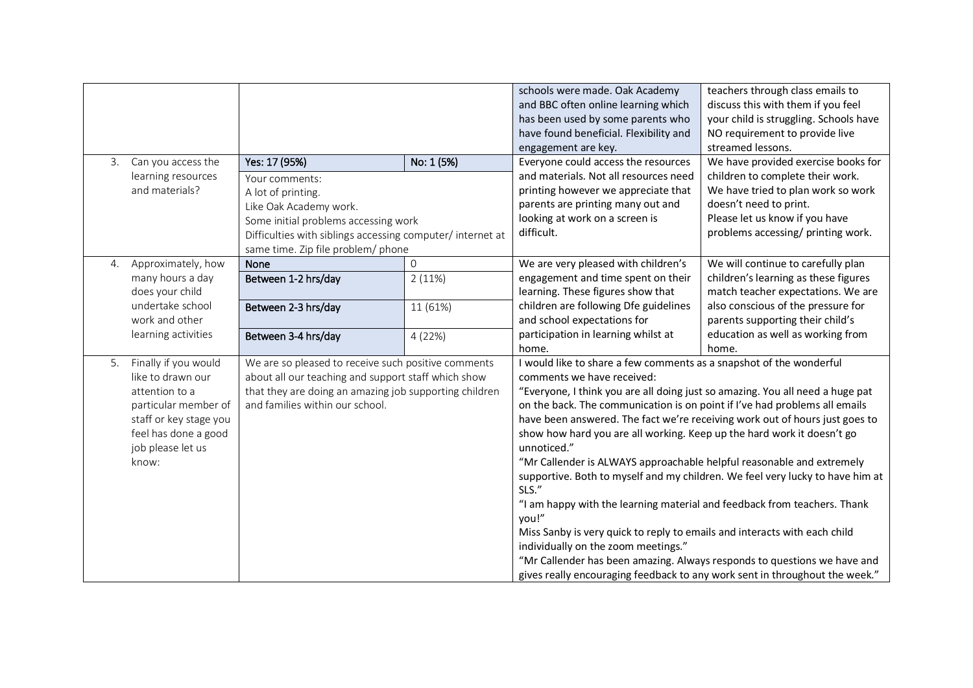|    |                                                                                                                                                                     | Yes: 17 (95%)<br>No: 1 (5%)<br>Your comments:<br>A lot of printing.<br>Like Oak Academy work.<br>Some initial problems accessing work<br>Difficulties with siblings accessing computer/ internet at<br>same time. Zip file problem/ phone |                    | schools were made. Oak Academy<br>and BBC often online learning which<br>has been used by some parents who<br>have found beneficial. Flexibility and<br>engagement are key.<br>Everyone could access the resources<br>and materials. Not all resources need<br>printing however we appreciate that<br>parents are printing many out and<br>looking at work on a screen is<br>difficult.                                                                                                                                                                                                                                                                                                                                                                                                                                                                                                                                                                                                           | teachers through class emails to<br>discuss this with them if you feel<br>your child is struggling. Schools have<br>NO requirement to provide live<br>streamed lessons.<br>We have provided exercise books for<br>children to complete their work.<br>We have tried to plan work so work<br>doesn't need to print.<br>Please let us know if you have<br>problems accessing/ printing work. |
|----|---------------------------------------------------------------------------------------------------------------------------------------------------------------------|-------------------------------------------------------------------------------------------------------------------------------------------------------------------------------------------------------------------------------------------|--------------------|---------------------------------------------------------------------------------------------------------------------------------------------------------------------------------------------------------------------------------------------------------------------------------------------------------------------------------------------------------------------------------------------------------------------------------------------------------------------------------------------------------------------------------------------------------------------------------------------------------------------------------------------------------------------------------------------------------------------------------------------------------------------------------------------------------------------------------------------------------------------------------------------------------------------------------------------------------------------------------------------------|--------------------------------------------------------------------------------------------------------------------------------------------------------------------------------------------------------------------------------------------------------------------------------------------------------------------------------------------------------------------------------------------|
| 3. | Can you access the<br>learning resources<br>and materials?                                                                                                          |                                                                                                                                                                                                                                           |                    |                                                                                                                                                                                                                                                                                                                                                                                                                                                                                                                                                                                                                                                                                                                                                                                                                                                                                                                                                                                                   |                                                                                                                                                                                                                                                                                                                                                                                            |
| 4. | Approximately, how<br>many hours a day<br>does your child                                                                                                           | None<br>Between 1-2 hrs/day                                                                                                                                                                                                               | $\Omega$<br>2(11%) | We are very pleased with children's<br>engagement and time spent on their<br>learning. These figures show that<br>children are following Dfe guidelines<br>and school expectations for<br>participation in learning whilst at                                                                                                                                                                                                                                                                                                                                                                                                                                                                                                                                                                                                                                                                                                                                                                     | We will continue to carefully plan<br>children's learning as these figures<br>match teacher expectations. We are<br>also conscious of the pressure for<br>parents supporting their child's<br>education as well as working from                                                                                                                                                            |
|    | undertake school<br>work and other<br>learning activities                                                                                                           | Between 2-3 hrs/day                                                                                                                                                                                                                       | 11 (61%)           |                                                                                                                                                                                                                                                                                                                                                                                                                                                                                                                                                                                                                                                                                                                                                                                                                                                                                                                                                                                                   |                                                                                                                                                                                                                                                                                                                                                                                            |
| 5. | Finally if you would<br>like to drawn our<br>attention to a<br>particular member of<br>staff or key stage you<br>feel has done a good<br>job please let us<br>know: | Between 3-4 hrs/day<br>4(22%)<br>We are so pleased to receive such positive comments<br>about all our teaching and support staff which show<br>that they are doing an amazing job supporting children<br>and families within our school.  |                    | home.<br>home.<br>I would like to share a few comments as a snapshot of the wonderful<br>comments we have received:<br>"Everyone, I think you are all doing just so amazing. You all need a huge pat<br>on the back. The communication is on point if I've had problems all emails<br>have been answered. The fact we're receiving work out of hours just goes to<br>show how hard you are all working. Keep up the hard work it doesn't go<br>unnoticed."<br>"Mr Callender is ALWAYS approachable helpful reasonable and extremely<br>supportive. Both to myself and my children. We feel very lucky to have him at<br>SLS."<br>"I am happy with the learning material and feedback from teachers. Thank<br>you!"<br>Miss Sanby is very quick to reply to emails and interacts with each child<br>individually on the zoom meetings."<br>"Mr Callender has been amazing. Always responds to questions we have and<br>gives really encouraging feedback to any work sent in throughout the week." |                                                                                                                                                                                                                                                                                                                                                                                            |